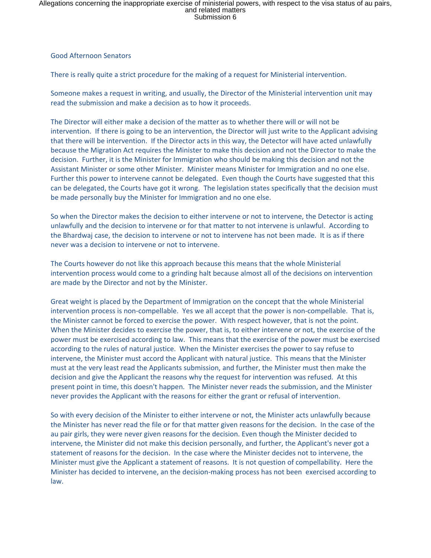## Allegations concerning the inappropriate exercise of ministerial powers, with respect to the visa status of au pairs,<br>and related matters<br>Submission 6

## Good Afternoon Senators

There is really quite a strict procedure for the making of a request for Ministerial intervention.

Someone makes a request in writing, and usually, the Director of the Ministerial intervention unit may read the submission and make a decision as to how it proceeds.

The Director will either make a decision of the matter as to whether there will or will not be intervention. If there is going to be an intervention, the Director will just write to the Applicant advising that there will be intervention. If the Director acts in this way, the Detector will have acted unlawfully because the Migration Act requires the Minister to make this decision and not the Director to make the decision. Further, it is the Minister for Immigration who should be making this decision and not the Assistant Minister or some other Minister. Minister means Minister for Immigration and no one else. Further this power to intervene cannot be delegated. Even though the Courts have suggested that this can be delegated, the Courts have got it wrong. The legislation states specifically that the decision must be made personally buy the Minister for Immigration and no one else.

So when the Director makes the decision to either intervene or not to intervene, the Detector is acting unlawfully and the decision to intervene or for that matter to not intervene is unlawful. According to the Bhardwaj case, the decision to intervene or not to intervene has not been made. It is as if there never was a decision to intervene or not to intervene.

The Courts however do not like this approach because this means that the whole Ministerial intervention process would come to a grinding halt because almost all of the decisions on intervention are made by the Director and not by the Minister.

Great weight is placed by the Department of Immigration on the concept that the whole Ministerial intervention process is non-compellable. Yes we all accept that the power is non-compellable. That is, the Minister cannot be forced to exercise the power. With respect however, that is not the point. When the Minister decides to exercise the power, that is, to either intervene or not, the exercise of the power must be exercised according to law. This means that the exercise of the power must be exercised according to the rules of natural justice. When the Minister exercises the power to say refuse to intervene, the Minister must accord the Applicant with natural justice. This means that the Minister must at the very least read the Applicants submission, and further, the Minister must then make the decision and give the Applicant the reasons why the request for intervention was refused. At this present point in time, this doesn't happen. The Minister never reads the submission, and the Minister never provides the Applicant with the reasons for either the grant or refusal of intervention.

So with every decision of the Minister to either intervene or not, the Minister acts unlawfully because the Minister has never read the file or for that matter given reasons for the decision. In the case of the au pair girls, they were never given reasons for the decision. Even though the Minister decided to intervene, the Minister did not make this decision personally, and further, the Applicant's never got a statement of reasons for the decision. In the case where the Minister decides not to intervene, the Minister must give the Applicant a statement of reasons. It is not question of compellability. Here the Minister has decided to intervene, an the decision-making process has not been exercised according to law.